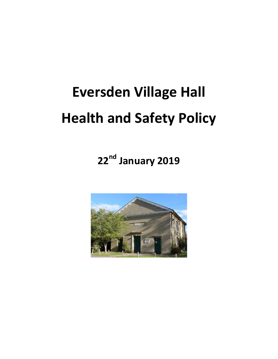# Eversden Village Hall Health and Safety Policy

22<sup>nd</sup> January 2019

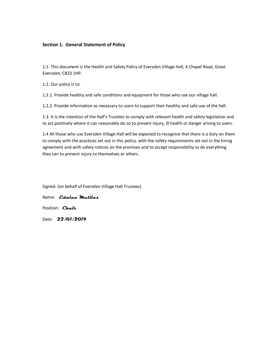## Section 1. General Statement of Policy

1.1. This document is the Health and Safety Policy of Eversden Village Hall, 4 Chapel Road, Great Eversden, CB23 1HP.

1.2. Our policy is to:

1.2.1. Provide healthy and safe conditions and equipment for those who use our village hall.

1.2.2. Provide information as necessary to users to support their healthy and safe use of the hall.

1.3. It is the intention of the Hall's Trustees to comply with relevant health and safety legislation and to act positively where it can reasonably do so to prevent injury, ill health or danger arising to users.

1.4 All those who use Eversden Village Hall will be expected to recognise that there is a duty on them to comply with the practices set out in this policy, with the safety requirements set out in the hiring agreement and with safety notices on the premises and to accept responsibility to do everything they can to prevent injury to themselves or others.

Signed: (on behalf of Eversden Village Hall Trustees)

Name: *Cdwina Mullins* 

Position: Chair

Date: 22/01/2019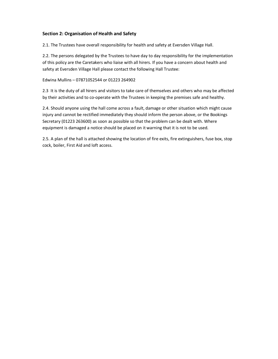# Section 2: Organisation of Health and Safety

2.1. The Trustees have overall responsibility for health and safety at Eversden Village Hall.

2.2. The persons delegated by the Trustees to have day to day responsibility for the implementation of this policy are the Caretakers who liaise with all hirers. If you have a concern about health and safety at Eversden Village Hall please contact the following Hall Trustee:

#### Edwina Mullins – 07871052544 or 01223 264902

2.3 It is the duty of all hirers and visitors to take care of themselves and others who may be affected by their activities and to co-operate with the Trustees in keeping the premises safe and healthy.

2.4. Should anyone using the hall come across a fault, damage or other situation which might cause injury and cannot be rectified immediately they should inform the person above, or the Bookings Secretary (01223 263600) as soon as possible so that the problem can be dealt with. Where equipment is damaged a notice should be placed on it warning that it is not to be used.

2.5. A plan of the hall is attached showing the location of fire exits, fire extinguishers, fuse box, stop cock, boiler, First Aid and loft access.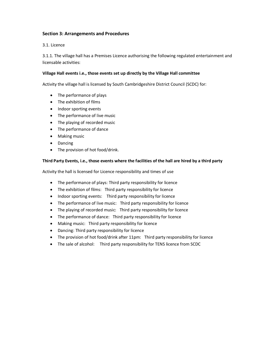# Section 3: Arrangements and Procedures

3.1. Licence

3.1.1. The village hall has a Premises Licence authorising the following regulated entertainment and licensable activities:

## Village Hall events i.e., those events set up directly by the Village Hall committee

Activity the village hall is licensed by South Cambridgeshire District Council (SCDC) for:

- The performance of plays
- The exhibition of films
- Indoor sporting events
- The performance of live music
- The playing of recorded music
- The performance of dance
- Making music
- Dancing
- The provision of hot food/drink.

## Third Party Events, i.e., those events where the facilities of the hall are hired by a third party

Activity the hall is licensed for Licence responsibility and times of use

- The performance of plays: Third party responsibility for licence
- The exhibition of films: Third party responsibility for licence
- Indoor sporting events: Third party responsibility for licence
- The performance of live music: Third party responsibility for licence
- The playing of recorded music: Third party responsibility for licence
- The performance of dance: Third party responsibility for licence
- Making music: Third party responsibility for licence
- Dancing: Third party responsibility for licence
- The provision of hot food/drink after 11pm: Third party responsibility for licence
- The sale of alcohol: Third party responsibility for TENS licence from SCDC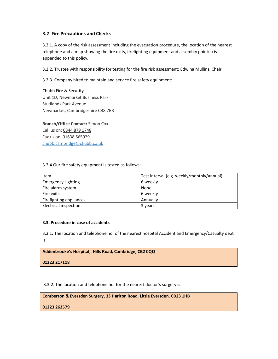# 3.2 Fire Precautions and Checks

3.2.1. A copy of the risk assessment including the evacuation procedure, the location of the nearest telephone and a map showing the fire exits, firefighting equipment and assembly point(s) is appended to this policy.

3.2.2. Trustee with responsibility for testing for the fire risk assessment: Edwina Mullins, Chair

3.2.3. Company hired to maintain and service fire safety equipment:

Chubb Fire & Security Unit 1D, Newmarket Business Park Studlands Park Avenue Newmarket, Cambridgeshire CB8 7ER

Branch/Office Contact: Simon Cox Call us on: 0344 879 1748 Fax us on: 01638 565929 chubb.cambridge@chubb.co.uk

#### 3.2.4 Our fire safety equipment is tested as follows:

| Item                         | Test interval (e.g. weekly/monthly/annual) |
|------------------------------|--------------------------------------------|
| <b>Emergency Lighting</b>    | 6 weekly                                   |
| Fire alarm system            | None                                       |
| Fire exits                   | 6 weekly                                   |
| Firefighting appliances      | Annually                                   |
| <b>Electrical inspection</b> | 3 years                                    |

#### 3.3. Procedure in case of accidents

3.3.1. The location and telephone no. of the nearest hospital Accident and Emergency/Casualty dept is:

Addenbrooke's Hospital, Hills Road, Cambridge, CB2 0QQ

01223 217118

3.3.2. The location and telephone no. for the nearest doctor's surgery is:

Comberton & Eversden Surgery, 33 Harlton Road, Little Eversden, CB23 1HB

01223 262579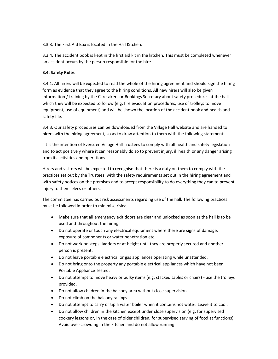3.3.3. The First Aid Box is located in the Hall Kitchen.

3.3.4. The accident book is kept in the first aid kit in the kitchen. This must be completed whenever an accident occurs by the person responsible for the hire.

# 3.4. Safety Rules

3.4.1. All hirers will be expected to read the whole of the hiring agreement and should sign the hiring form as evidence that they agree to the hiring conditions. All new hirers will also be given information / training by the Caretakers or Bookings Secretary about safety procedures at the hall which they will be expected to follow (e.g. fire evacuation procedures, use of trolleys to move equipment, use of equipment) and will be shown the location of the accident book and health and safety file.

3.4.3. Our safety procedures can be downloaded from the Village Hall website and are handed to hirers with the hiring agreement, so as to draw attention to them with the following statement:

"It is the intention of Eversden Village Hall Trustees to comply with all health and safety legislation and to act positively where it can reasonably do so to prevent injury, ill health or any danger arising from its activities and operations.

Hirers and visitors will be expected to recognise that there is a duty on them to comply with the practices set out by the Trustees, with the safety requirements set out in the hiring agreement and with safety notices on the premises and to accept responsibility to do everything they can to prevent injury to themselves or others.

The committee has carried out risk assessments regarding use of the hall. The following practices must be followed in order to minimise risks:

- Make sure that all emergency exit doors are clear and unlocked as soon as the hall is to be used and throughout the hiring.
- Do not operate or touch any electrical equipment where there are signs of damage, exposure of components or water penetration etc.
- Do not work on steps, ladders or at height until they are properly secured and another person is present.
- Do not leave portable electrical or gas appliances operating while unattended.
- Do not bring onto the property any portable electrical appliances which have not been Portable Appliance Tested.
- Do not attempt to move heavy or bulky items (e.g. stacked tables or chairs) use the trolleys provided.
- Do not allow children in the balcony area without close supervision.
- Do not climb on the balcony railings.
- Do not attempt to carry or tip a water boiler when it contains hot water. Leave it to cool.
- Do not allow children in the kitchen except under close supervision (e.g. for supervised cookery lessons or, in the case of older children, for supervised serving of food at functions). Avoid over-crowding in the kitchen and do not allow running.